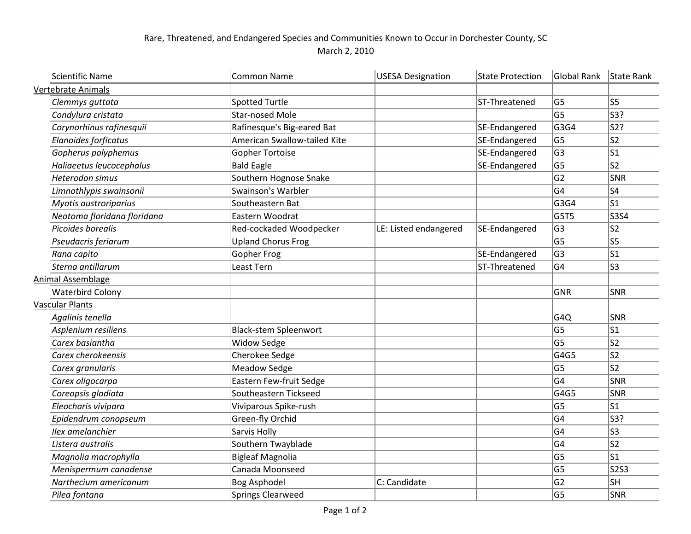## Rare, Threatened, and Endangered Species and Communities Known to Occur in Dorchester County, SC March 2, 2010

| <b>Scientific Name</b>      | <b>Common Name</b>           | <b>USESA Designation</b> | <b>State Protection</b> | <b>Global Rank</b> | State Rank   |
|-----------------------------|------------------------------|--------------------------|-------------------------|--------------------|--------------|
| <b>Vertebrate Animals</b>   |                              |                          |                         |                    |              |
| Clemmys guttata             | <b>Spotted Turtle</b>        |                          | ST-Threatened           | G <sub>5</sub>     | ls5          |
| Condylura cristata          | <b>Star-nosed Mole</b>       |                          |                         | G <sub>5</sub>     | S3?          |
| Corynorhinus rafinesquii    | Rafinesque's Big-eared Bat   |                          | SE-Endangered           | G3G4               | S2?          |
| Elanoides forficatus        | American Swallow-tailed Kite |                          | SE-Endangered           | G <sub>5</sub>     | S2           |
| Gopherus polyphemus         | <b>Gopher Tortoise</b>       |                          | SE-Endangered           | G <sub>3</sub>     | ls1          |
| Haliaeetus leucocephalus    | <b>Bald Eagle</b>            |                          | SE-Endangered           | G <sub>5</sub>     | ls2          |
| Heterodon simus             | Southern Hognose Snake       |                          |                         | G <sub>2</sub>     | SNR          |
| Limnothlypis swainsonii     | Swainson's Warbler           |                          |                         | G <sub>4</sub>     | S4           |
| Myotis austroriparius       | Southeastern Bat             |                          |                         | G3G4               | S1           |
| Neotoma floridana floridana | Eastern Woodrat              |                          |                         | G5T5               | S3S4         |
| Picoides borealis           | Red-cockaded Woodpecker      | LE: Listed endangered    | SE-Endangered           | G <sub>3</sub>     | S2           |
| Pseudacris feriarum         | <b>Upland Chorus Frog</b>    |                          |                         | G <sub>5</sub>     | S5           |
| Rana capito                 | Gopher Frog                  |                          | SE-Endangered           | G <sub>3</sub>     | S1           |
| Sterna antillarum           | Least Tern                   |                          | ST-Threatened           | G <sub>4</sub>     | ls3          |
| Animal Assemblage           |                              |                          |                         |                    |              |
| <b>Waterbird Colony</b>     |                              |                          |                         | <b>GNR</b>         | SNR          |
| <b>Vascular Plants</b>      |                              |                          |                         |                    |              |
| Agalinis tenella            |                              |                          |                         | G4Q                | SNR          |
| Asplenium resiliens         | <b>Black-stem Spleenwort</b> |                          |                         | G <sub>5</sub>     | ls1          |
| Carex basiantha             | <b>Widow Sedge</b>           |                          |                         | G <sub>5</sub>     | ls2          |
| Carex cherokeensis          | Cherokee Sedge               |                          |                         | G4G5               | S2           |
| Carex granularis            | <b>Meadow Sedge</b>          |                          |                         | G <sub>5</sub>     | ls2          |
| Carex oligocarpa            | Eastern Few-fruit Sedge      |                          |                         | G <sub>4</sub>     | $ {\sf SNR}$ |
| Coreopsis gladiata          | Southeastern Tickseed        |                          |                         | G4G5               | SNR          |
| Eleocharis vivipara         | Viviparous Spike-rush        |                          |                         | G <sub>5</sub>     | ls1          |
| Epidendrum conopseum        | Green-fly Orchid             |                          |                         | G <sub>4</sub>     | S3?          |
| Ilex amelanchier            | Sarvis Holly                 |                          |                         | G <sub>4</sub>     | S3           |
| Listera australis           | Southern Twayblade           |                          |                         | G <sub>4</sub>     | s2           |
| Magnolia macrophylla        | <b>Bigleaf Magnolia</b>      |                          |                         | G <sub>5</sub>     | ls1          |
| Menispermum canadense       | Canada Moonseed              |                          |                         | G <sub>5</sub>     | $ $ S2S3     |
| Narthecium americanum       | <b>Bog Asphodel</b>          | C: Candidate             |                         | G <sub>2</sub>     | SH           |
| Pilea fontana               | Springs Clearweed            |                          |                         | G <sub>5</sub>     | SNR          |